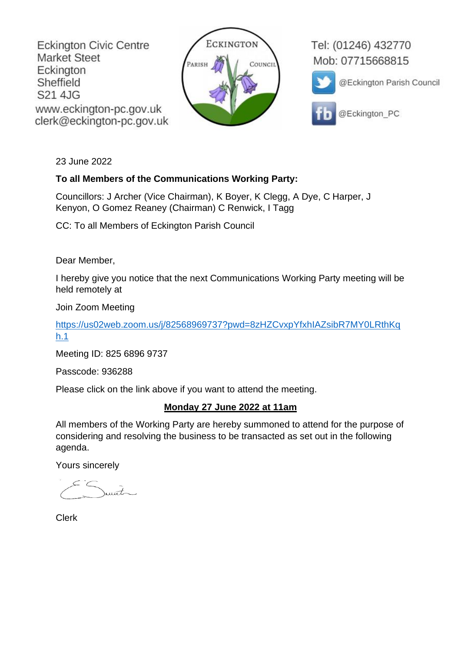**Eckington Civic Centre Market Steet** Eckington Sheffield S21 4JG www.eckington-pc.gov.uk clerk@eckington-pc.gov.uk



Tel: (01246) 432770 Mob: 07715668815



@Eckington Parish Council

@Eckington\_PC

23 June 2022

## **To all Members of the Communications Working Party:**

Councillors: J Archer (Vice Chairman), K Boyer, K Clegg, A Dye, C Harper, J Kenyon, O Gomez Reaney (Chairman) C Renwick, I Tagg

CC: To all Members of Eckington Parish Council

Dear Member,

I hereby give you notice that the next Communications Working Party meeting will be held remotely at

Join Zoom Meeting

[https://us02web.zoom.us/j/82568969737?pwd=8zHZCvxpYfxhIAZsibR7MY0LRthKq](https://us02web.zoom.us/j/82568969737?pwd=8zHZCvxpYfxhIAZsibR7MY0LRthKqh.1) [h.1](https://us02web.zoom.us/j/82568969737?pwd=8zHZCvxpYfxhIAZsibR7MY0LRthKqh.1)

Meeting ID: 825 6896 9737

Passcode: 936288

Please click on the link above if you want to attend the meeting.

## **Monday 27 June 2022 at 11am**

All members of the Working Party are hereby summoned to attend for the purpose of considering and resolving the business to be transacted as set out in the following agenda.

Yours sincerely

munt

Clerk